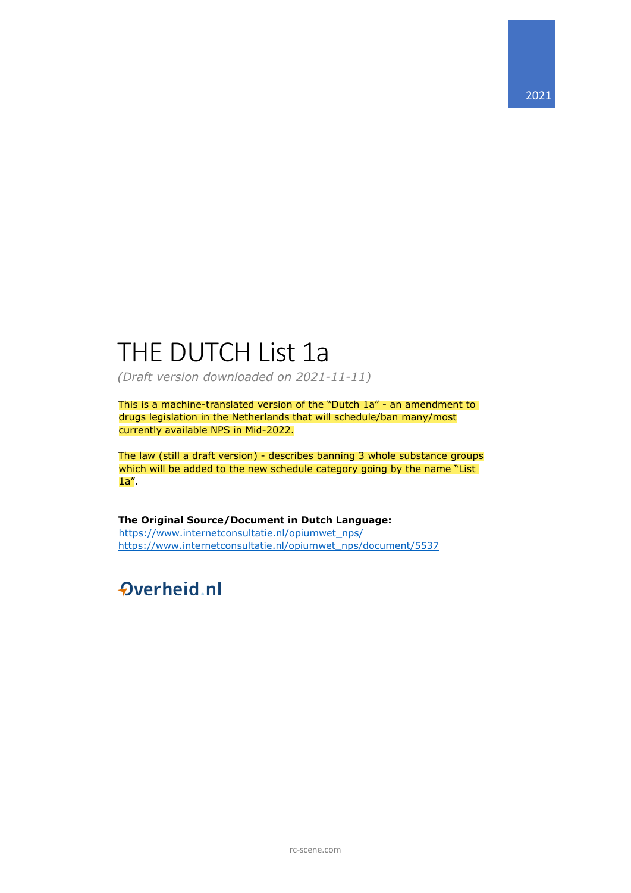# THE DUTCH List 1a

*(Draft version downloaded on 2021-11-11)*

This is a machine-translated version of the "Dutch 1a" - an amendment to drugs legislation in the Netherlands that will schedule/ban many/most currently available NPS in Mid-2022.

The law (still a draft version) - describes banning 3 whole substance groups which will be added to the new schedule category going by the name "List 1a".

**The Original Source/Document in Dutch Language:** [https://www.internetconsultatie.nl/opiumwet\\_nps/](https://www.internetconsultatie.nl/opiumwet_nps/) [https://www.internetconsultatie.nl/opiumwet\\_nps/document/5537](https://www.internetconsultatie.nl/opiumwet_nps/document/5537)

# **Overheid** nl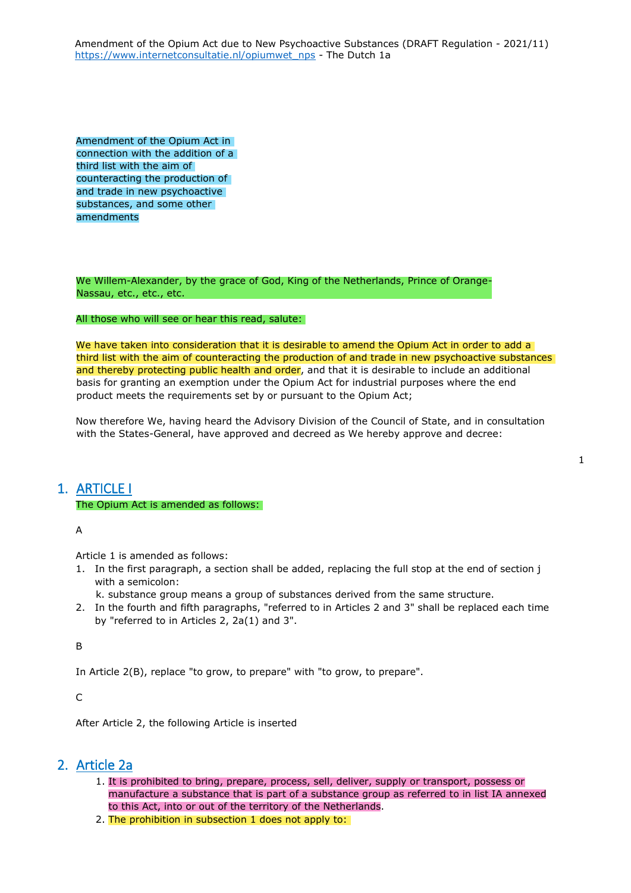Amendment of the Opium Act in connection with the addition of a third list with the aim of counteracting the production of and trade in new psychoactive substances, and some other amendments

We Willem-Alexander, by the grace of God, King of the Netherlands, Prince of Orange-Nassau, etc., etc., etc.

#### All those who will see or hear this read, salute:

We have taken into consideration that it is desirable to amend the Opium Act in order to add a third list with the aim of counteracting the production of and trade in new psychoactive substances and thereby protecting public health and order, and that it is desirable to include an additional basis for granting an exemption under the Opium Act for industrial purposes where the end product meets the requirements set by or pursuant to the Opium Act;

Now therefore We, having heard the Advisory Division of the Council of State, and in consultation with the States-General, have approved and decreed as We hereby approve and decree:

## 1. ARTICLE I

#### The Opium Act is amended as follows:

A

Article 1 is amended as follows:

- 1. In the first paragraph, a section shall be added, replacing the full stop at the end of section j with a semicolon:
	- k. substance group means a group of substances derived from the same structure.
- 2. In the fourth and fifth paragraphs, "referred to in Articles 2 and 3" shall be replaced each time by "referred to in Articles 2, 2a(1) and 3".

B

In Article 2(B), replace "to grow, to prepare" with "to grow, to prepare".

 $\mathsf{C}$ 

After Article 2, the following Article is inserted

## 2. Article 2a

- 1. It is prohibited to bring, prepare, process, sell, deliver, supply or transport, possess or manufacture a substance that is part of a substance group as referred to in list IA annexed to this Act, into or out of the territory of the Netherlands.
- 2. The prohibition in subsection 1 does not apply to: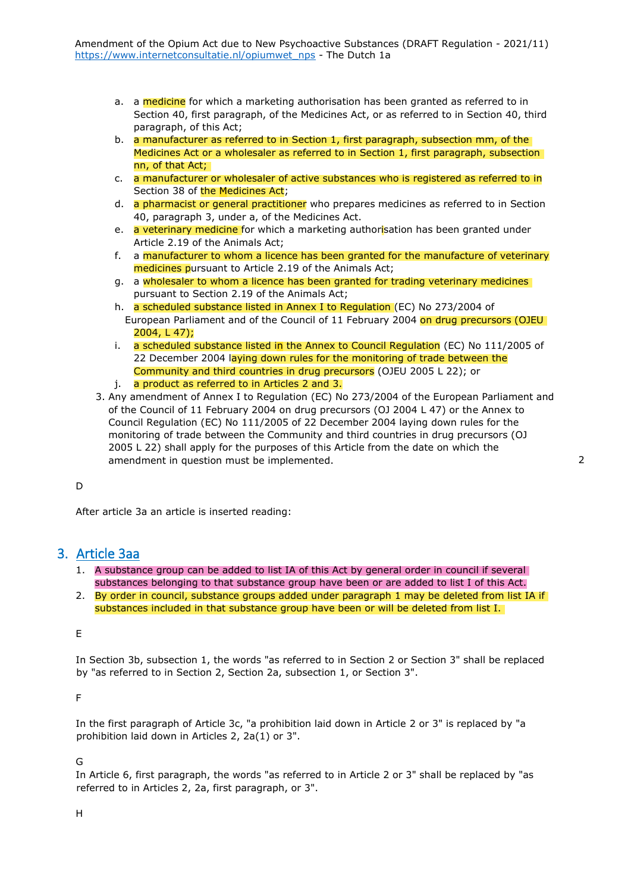- a. a medicine for which a marketing authorisation has been granted as referred to in Section 40, first paragraph, of the Medicines Act, or as referred to in Section 40, third paragraph, of this Act;
- b. a manufacturer as referred to in Section 1, first paragraph, subsection mm, of the Medicines Act or a wholesaler as referred to in Section 1, first paragraph, subsection nn, of that Act;
- c. a manufacturer or wholesaler of active substances who is registered as referred to in Section 38 of the Medicines Act;
- d. **a pharmacist or general practitioner** who prepares medicines as referred to in Section 40, paragraph 3, under a, of the Medicines Act.
- e. **a veterinary medicine for which a marketing authorisation has been granted under** Article 2.19 of the Animals Act;
- f. a manufacturer to whom a licence has been granted for the manufacture of veterinary medicines pursuant to Article 2.19 of the Animals Act;
- g. a wholesaler to whom a licence has been granted for trading veterinary medicines pursuant to Section 2.19 of the Animals Act;
- h. a scheduled substance listed in Annex I to Regulation (EC) No 273/2004 of European Parliament and of the Council of 11 February 2004 on drug precursors (OJEU 2004, L 47);
- i. a scheduled substance listed in the Annex to Council Regulation (EC) No 111/2005 of 22 December 2004 laying down rules for the monitoring of trade between the Community and third countries in drug precursors (OJEU 2005 L 22); or
- j. a product as referred to in Articles 2 and 3.
- 3. Any amendment of Annex I to Regulation (EC) No 273/2004 of the European Parliament and of the Council of 11 February 2004 on drug precursors (OJ 2004 L 47) or the Annex to Council Regulation (EC) No 111/2005 of 22 December 2004 laying down rules for the monitoring of trade between the Community and third countries in drug precursors (OJ 2005 L 22) shall apply for the purposes of this Article from the date on which the amendment in question must be implemented.

### D

After article 3a an article is inserted reading:

## 3. Article 3aa

- 1. A substance group can be added to list IA of this Act by general order in council if several substances belonging to that substance group have been or are added to list I of this Act.
- 2. By order in council, substance groups added under paragraph 1 may be deleted from list IA if substances included in that substance group have been or will be deleted from list I.

E

In Section 3b, subsection 1, the words "as referred to in Section 2 or Section 3" shall be replaced by "as referred to in Section 2, Section 2a, subsection 1, or Section 3".

F

In the first paragraph of Article 3c, "a prohibition laid down in Article 2 or 3" is replaced by "a prohibition laid down in Articles 2, 2a(1) or 3".

G

In Article 6, first paragraph, the words "as referred to in Article 2 or 3" shall be replaced by "as referred to in Articles 2, 2a, first paragraph, or 3".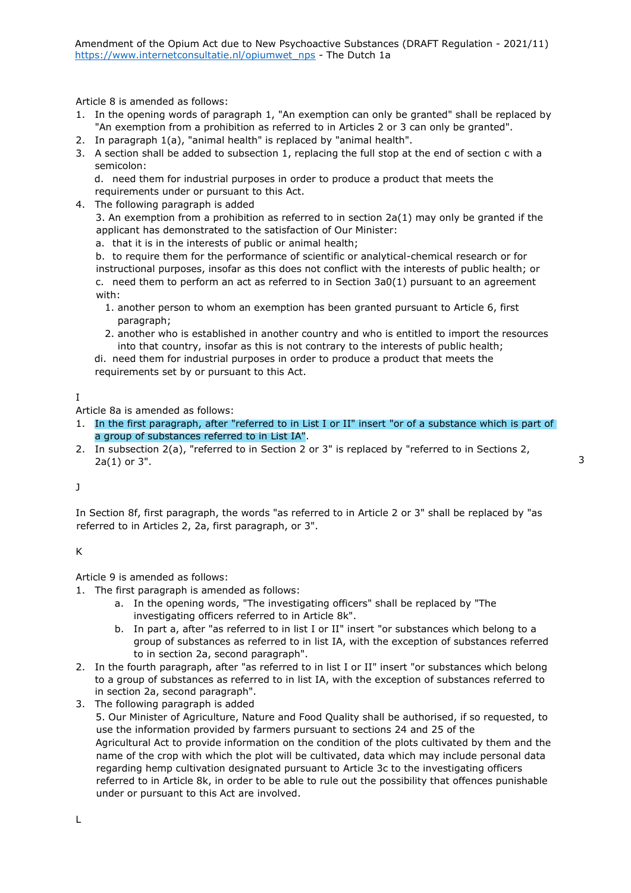Article 8 is amended as follows:

- 1. In the opening words of paragraph 1, "An exemption can only be granted" shall be replaced by "An exemption from a prohibition as referred to in Articles 2 or 3 can only be granted".
- 2. In paragraph 1(a), "animal health" is replaced by "animal health".
- 3. A section shall be added to subsection 1, replacing the full stop at the end of section c with a semicolon:

d. need them for industrial purposes in order to produce a product that meets the requirements under or pursuant to this Act.

4. The following paragraph is added

3. An exemption from a prohibition as referred to in section 2a(1) may only be granted if the applicant has demonstrated to the satisfaction of Our Minister:

a. that it is in the interests of public or animal health;

b. to require them for the performance of scientific or analytical-chemical research or for instructional purposes, insofar as this does not conflict with the interests of public health; or c. need them to perform an act as referred to in Section 3a0(1) pursuant to an agreement with:

- 1. another person to whom an exemption has been granted pursuant to Article 6, first paragraph;
- 2. another who is established in another country and who is entitled to import the resources into that country, insofar as this is not contrary to the interests of public health;

di. need them for industrial purposes in order to produce a product that meets the requirements set by or pursuant to this Act.

I

Article 8a is amended as follows:

1. In the first paragraph, after "referred to in List I or II" insert "or of a substance which is part of a group of substances referred to in List IA".

3

2. In subsection 2(a), "referred to in Section 2 or 3" is replaced by "referred to in Sections 2, 2a(1) or 3".

 $\mathbf{J}$ 

In Section 8f, first paragraph, the words "as referred to in Article 2 or 3" shall be replaced by "as referred to in Articles 2, 2a, first paragraph, or 3".

K

Article 9 is amended as follows:

- 1. The first paragraph is amended as follows:
	- a. In the opening words, "The investigating officers" shall be replaced by "The investigating officers referred to in Article 8k".
	- b. In part a, after "as referred to in list I or II" insert "or substances which belong to a group of substances as referred to in list IA, with the exception of substances referred to in section 2a, second paragraph".
- 2. In the fourth paragraph, after "as referred to in list I or II" insert "or substances which belong to a group of substances as referred to in list IA, with the exception of substances referred to in section 2a, second paragraph".
- 3. The following paragraph is added 5. Our Minister of Agriculture, Nature and Food Quality shall be authorised, if so requested, to use the information provided by farmers pursuant to sections 24 and 25 of the Agricultural Act to provide information on the condition of the plots cultivated by them and the name of the crop with which the plot will be cultivated, data which may include personal data regarding hemp cultivation designated pursuant to Article 3c to the investigating officers referred to in Article 8k, in order to be able to rule out the possibility that offences punishable under or pursuant to this Act are involved.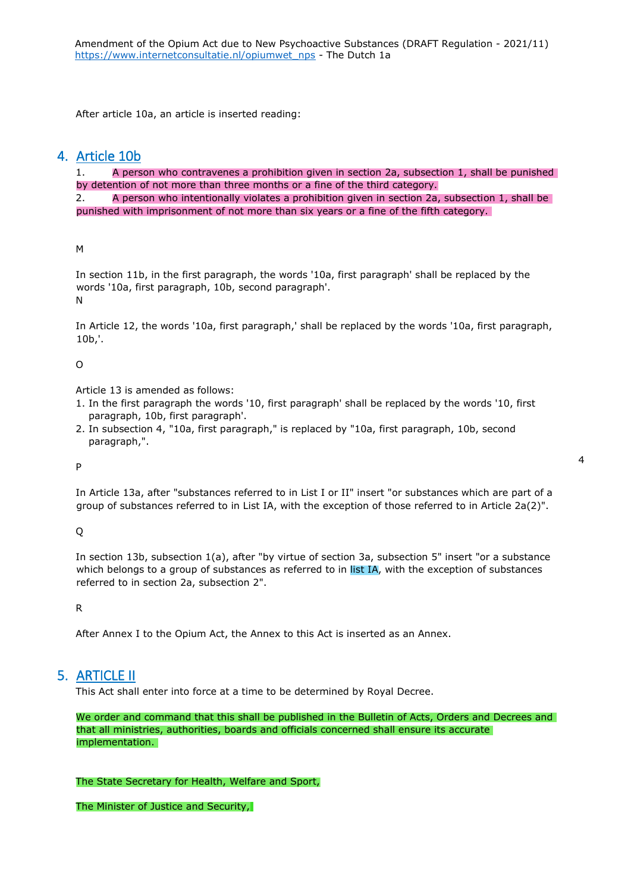After article 10a, an article is inserted reading:

## 4. Article 10b

1. A person who contravenes a prohibition given in section 2a, subsection 1, shall be punished by detention of not more than three months or a fine of the third category.

2. A person who intentionally violates a prohibition given in section 2a, subsection 1, shall be punished with imprisonment of not more than six years or a fine of the fifth category.

M

In section 11b, in the first paragraph, the words '10a, first paragraph' shall be replaced by the words '10a, first paragraph, 10b, second paragraph'. N

In Article 12, the words '10a, first paragraph,' shall be replaced by the words '10a, first paragraph, 10b,'.

### O

Article 13 is amended as follows:

- 1. In the first paragraph the words '10, first paragraph' shall be replaced by the words '10, first paragraph, 10b, first paragraph'.
- 2. In subsection 4, "10a, first paragraph," is replaced by "10a, first paragraph, 10b, second paragraph,".

P

In Article 13a, after "substances referred to in List I or II" insert "or substances which are part of a group of substances referred to in List IA, with the exception of those referred to in Article 2a(2)".

Q

In section 13b, subsection 1(a), after "by virtue of section 3a, subsection 5" insert "or a substance which belongs to a group of substances as referred to in list IA, with the exception of substances referred to in section 2a, subsection 2".

R

After Annex I to the Opium Act, the Annex to this Act is inserted as an Annex.

## 5. ARTICLE II

This Act shall enter into force at a time to be determined by Royal Decree.

We order and command that this shall be published in the Bulletin of Acts, Orders and Decrees and that all ministries, authorities, boards and officials concerned shall ensure its accurate implementation.

#### The State Secretary for Health, Welfare and Sport,

The Minister of Justice and Security,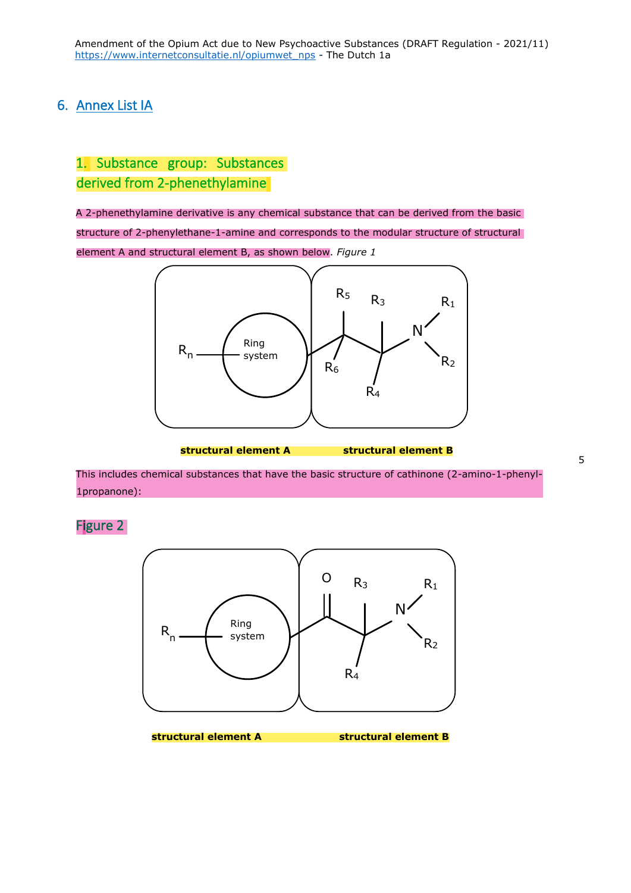## 6. Annex List IA

## 1. Substance group: Substances derived from 2-phenethylamine

A 2-phenethylamine derivative is any chemical substance that can be derived from the basic structure of 2-phenylethane-1-amine and corresponds to the modular structure of structural element A and structural element B, as shown below. *Figure 1* 



**structural element A structural element B** 

This includes chemical substances that have the basic structure of cathinone (2-amino-1-phenyl-1propanone):

Figure 2



5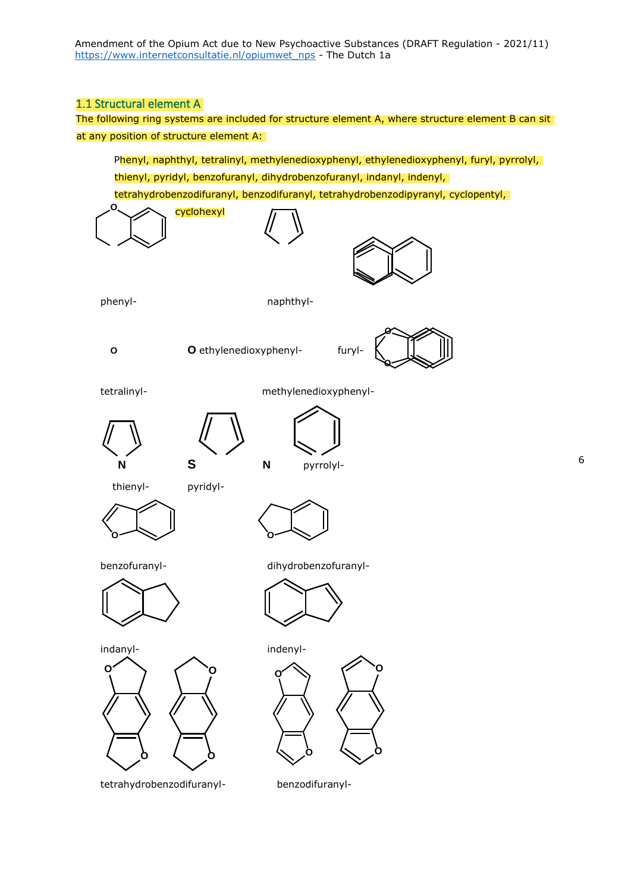## 1.1 Structural element A

The following ring systems are included for structure element A, where structure element B can sit at any position of structure element A:

Phenyl, naphthyl, tetralinyl, methylenedioxyphenyl, ethylenedioxyphenyl, furyl, pyrrolyl, thienyl, pyridyl, benzofuranyl, dihydrobenzofuranyl, indanyl, indenyl,

tetrahydrobenzodifuranyl, benzodifuranyl, tetrahydrobenzodipyranyl, cyclopentyl,



tetrahydrobenzodifuranyl- benzodifuranyl-

**O**

**O**

**O**

**O**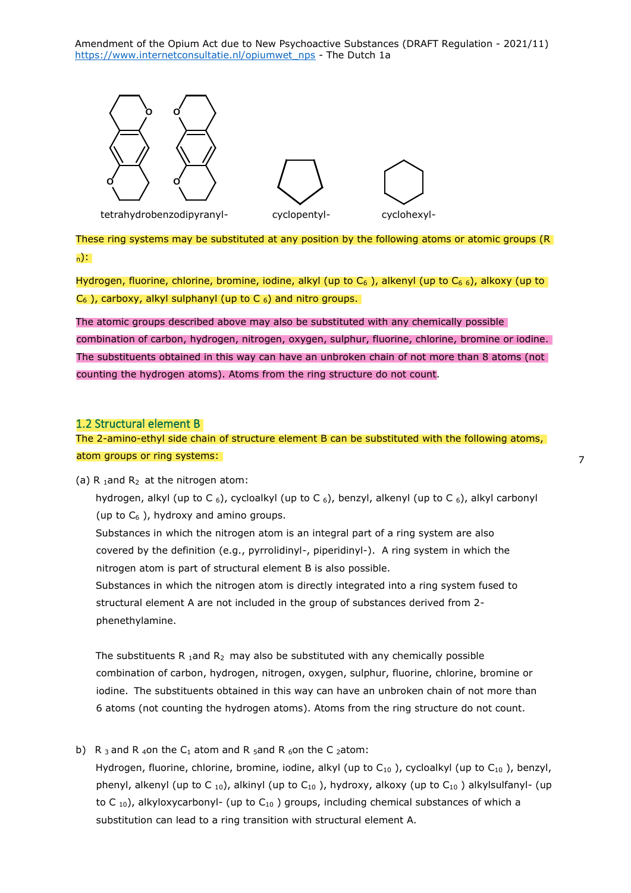Amendment of the Opium Act due to New Psychoactive Substances (DRAFT Regulation - 2021/11) [https://www.internetconsultatie.nl/opiumwet\\_nps](https://www.internetconsultatie.nl/opiumwet_nps) - The Dutch 1a



These ring systems may be substituted at any position by the following atoms or atomic groups (R) <sup>n</sup>):

Hydrogen, fluorine, chlorine, bromine, iodine, alkyl (up to  $C_6$ ), alkenyl (up to  $C_6$ ,), alkoxy (up to  $C_6$ ), carboxy, alkyl sulphanyl (up to C  $_6$ ) and nitro groups.

The atomic groups described above may also be substituted with any chemically possible combination of carbon, hydrogen, nitrogen, oxygen, sulphur, fluorine, chlorine, bromine or iodine. The substituents obtained in this way can have an unbroken chain of not more than 8 atoms (not counting the hydrogen atoms). Atoms from the ring structure do not count.

#### 1.2 Structural element B

The 2-amino-ethyl side chain of structure element B can be substituted with the following atoms, atom groups or ring systems:

(a) R  $_1$  and R<sub>2</sub> at the nitrogen atom:

hydrogen, alkyl (up to C  $_6$ ), cycloalkyl (up to C  $_6$ ), benzyl, alkenyl (up to C  $_6$ ), alkyl carbonyl (up to  $C_6$ ), hydroxy and amino groups.

Substances in which the nitrogen atom is an integral part of a ring system are also covered by the definition (e.g., pyrrolidinyl-, piperidinyl-). A ring system in which the nitrogen atom is part of structural element B is also possible.

Substances in which the nitrogen atom is directly integrated into a ring system fused to structural element A are not included in the group of substances derived from 2 phenethylamine.

The substituents R 1and R<sub>2</sub> may also be substituted with any chemically possible combination of carbon, hydrogen, nitrogen, oxygen, sulphur, fluorine, chlorine, bromine or iodine. The substituents obtained in this way can have an unbroken chain of not more than 6 atoms (not counting the hydrogen atoms). Atoms from the ring structure do not count.

b) R 3 and R 40n the C<sub>1</sub> atom and R  $_5$ and R  $_6$ on the C 2 atom: Hydrogen, fluorine, chlorine, bromine, iodine, alkyl (up to  $C_{10}$ ), cycloalkyl (up to  $C_{10}$ ), benzyl, phenyl, alkenyl (up to C  $_{10}$ ), alkinyl (up to C $_{10}$ ), hydroxy, alkoxy (up to C $_{10}$ ) alkylsulfanyl- (up to C  $_{10}$ ), alkyloxycarbonyl- (up to C $_{10}$ ) groups, including chemical substances of which a substitution can lead to a ring transition with structural element A.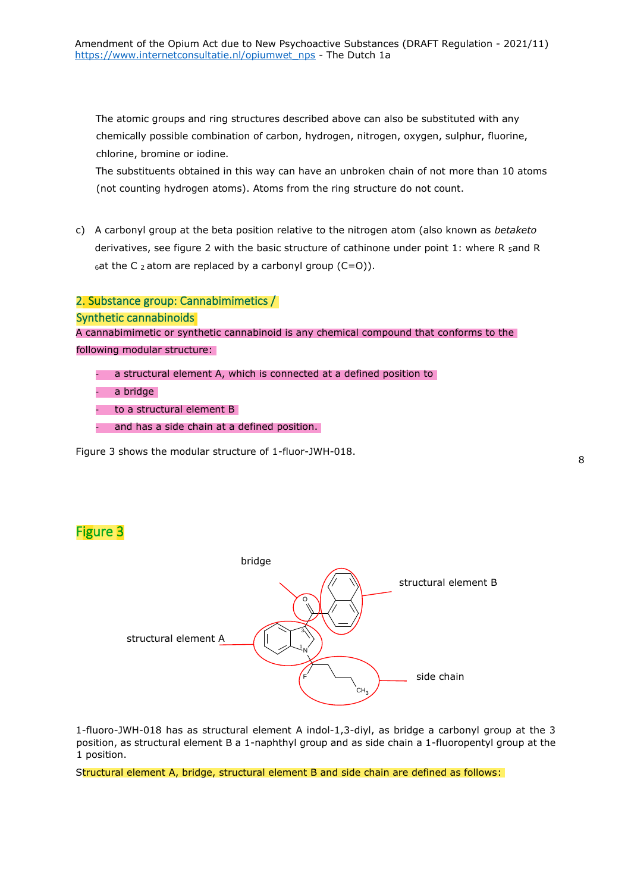The atomic groups and ring structures described above can also be substituted with any chemically possible combination of carbon, hydrogen, nitrogen, oxygen, sulphur, fluorine, chlorine, bromine or iodine.

The substituents obtained in this way can have an unbroken chain of not more than 10 atoms (not counting hydrogen atoms). Atoms from the ring structure do not count.

c) A carbonyl group at the beta position relative to the nitrogen atom (also known as *betaketo*  derivatives, see figure 2 with the basic structure of cathinone under point 1: where R  $<sub>5</sub>$ and R</sub>  $6$ at the C  $2$  atom are replaced by a carbonyl group (C=O)).

### 2. Substance group: Cannabimimetics /

Synthetic cannabinoids

A cannabimimetic or synthetic cannabinoid is any chemical compound that conforms to the following modular structure:

a structural element A, which is connected at a defined position to

- a bridge
- to a structural element B
- and has a side chain at a defined position.

Figure 3 shows the modular structure of 1-fluor-JWH-018.

## Figure 3



1-fluoro-JWH-018 has as structural element A indol-1,3-diyl, as bridge a carbonyl group at the 3 position, as structural element B a 1-naphthyl group and as side chain a 1-fluoropentyl group at the 1 position.

Structural element A, bridge, structural element B and side chain are defined as follows: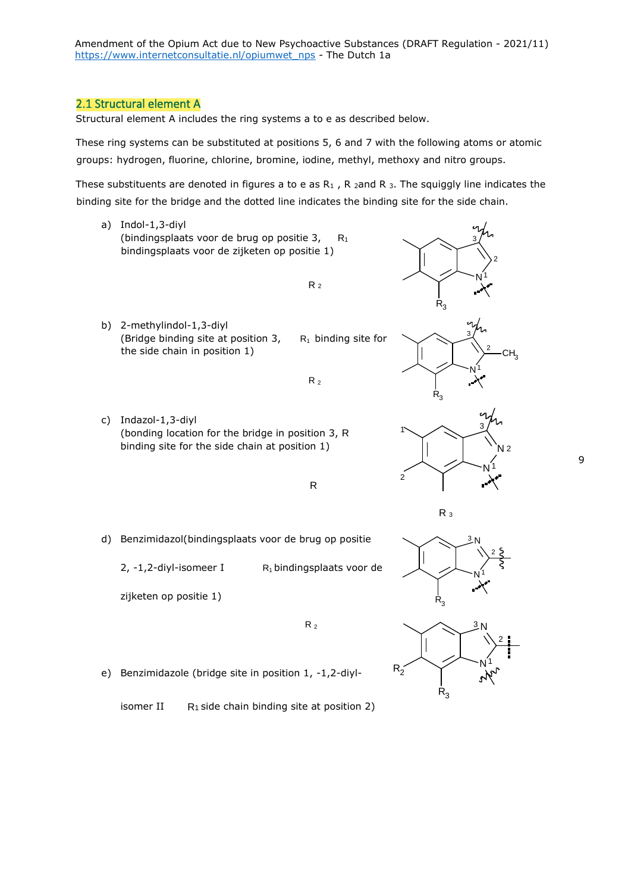Amendment of the Opium Act due to New Psychoactive Substances (DRAFT Regulation - 2021/11) [https://www.internetconsultatie.nl/opiumwet\\_nps](https://www.internetconsultatie.nl/opiumwet_nps) - The Dutch 1a

#### 2.1 Structural element A

Structural element A includes the ring systems a to e as described below.

These ring systems can be substituted at positions 5, 6 and 7 with the following atoms or atomic groups: hydrogen, fluorine, chlorine, bromine, iodine, methyl, methoxy and nitro groups.

These substituents are denoted in figures a to e as  $R_1$ , R 2and R 3. The squiggly line indicates the binding site for the bridge and the dotted line indicates the binding site for the side chain.

- a) Indol-1,3-diyl (bindingsplaats voor de brug op positie 3, R<sub>1</sub> bindingsplaats voor de zijketen op positie 1)
	- $R<sub>2</sub>$
- b) 2-methylindol-1,3-diyl (Bridge binding site at position 3,  $R_1$  binding site for the side chain in position 1)
- c) Indazol-1,3-diyl (bonding location for the bridge in position 3, R binding site for the side chain at position 1)



R

 $R_2$ 

d) Benzimidazol(bindingsplaats voor de brug op positie

2,  $-1$ , 2-diyl-isomeer I R<sub>1</sub> bindingsplaats voor de

zijketen op positie 1)





R <sup>3</sup>



e) Benzimidazole (bridge site in position 1, -1,2-diyl-

isomer II  $R_1$  side chain binding site at position 2)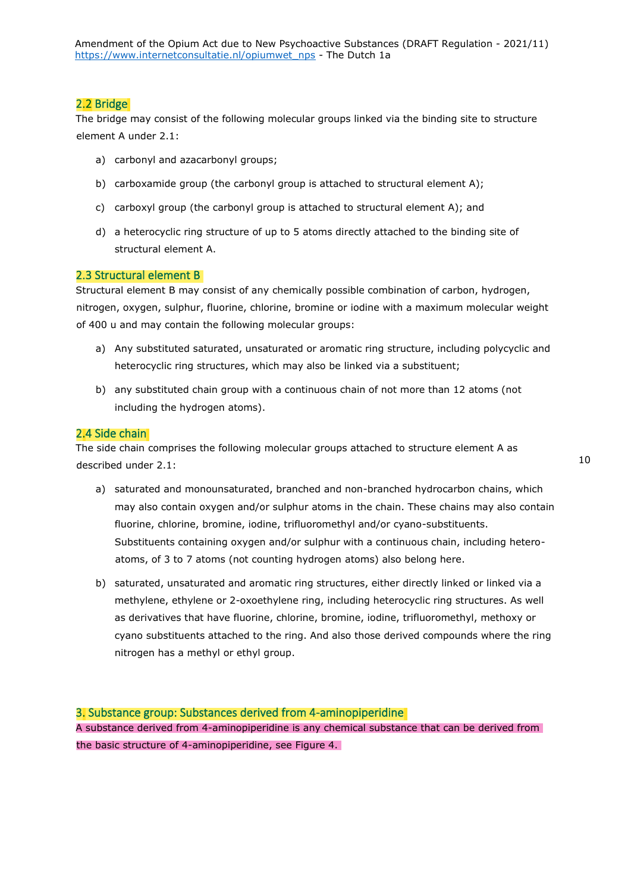## 2.2 Bridge

The bridge may consist of the following molecular groups linked via the binding site to structure element A under 2.1:

- a) carbonyl and azacarbonyl groups;
- b) carboxamide group (the carbonyl group is attached to structural element A);
- c) carboxyl group (the carbonyl group is attached to structural element A); and
- d) a heterocyclic ring structure of up to 5 atoms directly attached to the binding site of structural element A.

### 2.3 Structural element B

Structural element B may consist of any chemically possible combination of carbon, hydrogen, nitrogen, oxygen, sulphur, fluorine, chlorine, bromine or iodine with a maximum molecular weight of 400 u and may contain the following molecular groups:

- a) Any substituted saturated, unsaturated or aromatic ring structure, including polycyclic and heterocyclic ring structures, which may also be linked via a substituent;
- b) any substituted chain group with a continuous chain of not more than 12 atoms (not including the hydrogen atoms).

#### 2.4 Side chain

The side chain comprises the following molecular groups attached to structure element A as described under 2.1:

- a) saturated and monounsaturated, branched and non-branched hydrocarbon chains, which may also contain oxygen and/or sulphur atoms in the chain. These chains may also contain fluorine, chlorine, bromine, iodine, trifluoromethyl and/or cyano-substituents. Substituents containing oxygen and/or sulphur with a continuous chain, including heteroatoms, of 3 to 7 atoms (not counting hydrogen atoms) also belong here.
- b) saturated, unsaturated and aromatic ring structures, either directly linked or linked via a methylene, ethylene or 2-oxoethylene ring, including heterocyclic ring structures. As well as derivatives that have fluorine, chlorine, bromine, iodine, trifluoromethyl, methoxy or cyano substituents attached to the ring. And also those derived compounds where the ring nitrogen has a methyl or ethyl group.

3. Substance group: Substances derived from 4-aminopiperidine A substance derived from 4-aminopiperidine is any chemical substance that can be derived from the basic structure of 4-aminopiperidine, see Figure 4.